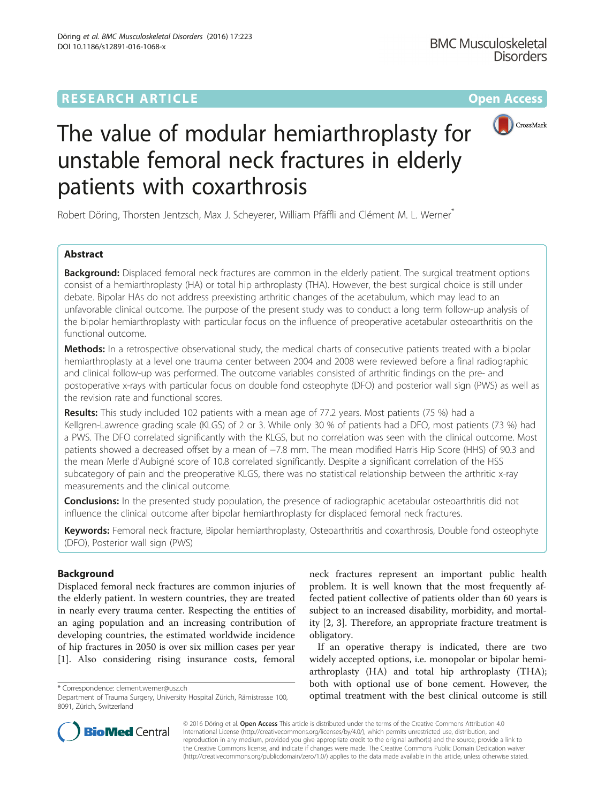## **RESEARCH ARTICLE Example 2014 12:30 The Community Community Community Community Community Community Community**



# The value of modular hemiarthroplasty for unstable femoral neck fractures in elderly patients with coxarthrosis

Robert Döring, Thorsten Jentzsch, Max J. Scheyerer, William Pfäffli and Clément M. L. Werner\*

#### Abstract

**Background:** Displaced femoral neck fractures are common in the elderly patient. The surgical treatment options consist of a hemiarthroplasty (HA) or total hip arthroplasty (THA). However, the best surgical choice is still under debate. Bipolar HAs do not address preexisting arthritic changes of the acetabulum, which may lead to an unfavorable clinical outcome. The purpose of the present study was to conduct a long term follow-up analysis of the bipolar hemiarthroplasty with particular focus on the influence of preoperative acetabular osteoarthritis on the functional outcome.

Methods: In a retrospective observational study, the medical charts of consecutive patients treated with a bipolar hemiarthroplasty at a level one trauma center between 2004 and 2008 were reviewed before a final radiographic and clinical follow-up was performed. The outcome variables consisted of arthritic findings on the pre- and postoperative x-rays with particular focus on double fond osteophyte (DFO) and posterior wall sign (PWS) as well as the revision rate and functional scores.

Results: This study included 102 patients with a mean age of 77.2 years. Most patients (75 %) had a Kellgren-Lawrence grading scale (KLGS) of 2 or 3. While only 30 % of patients had a DFO, most patients (73 %) had a PWS. The DFO correlated significantly with the KLGS, but no correlation was seen with the clinical outcome. Most patients showed a decreased offset by a mean of −7.8 mm. The mean modified Harris Hip Score (HHS) of 90.3 and the mean Merle d'Aubigné score of 10.8 correlated significantly. Despite a significant correlation of the HSS subcategory of pain and the preoperative KLGS, there was no statistical relationship between the arthritic x-ray measurements and the clinical outcome.

**Conclusions:** In the presented study population, the presence of radiographic acetabular osteoarthritis did not influence the clinical outcome after bipolar hemiarthroplasty for displaced femoral neck fractures.

Keywords: Femoral neck fracture, Bipolar hemiarthroplasty, Osteoarthritis and coxarthrosis, Double fond osteophyte (DFO), Posterior wall sign (PWS)

#### Background

Displaced femoral neck fractures are common injuries of the elderly patient. In western countries, they are treated in nearly every trauma center. Respecting the entities of an aging population and an increasing contribution of developing countries, the estimated worldwide incidence of hip fractures in 2050 is over six million cases per year [[1\]](#page-6-0). Also considering rising insurance costs, femoral

neck fractures represent an important public health problem. It is well known that the most frequently affected patient collective of patients older than 60 years is subject to an increased disability, morbidity, and mortality [\[2](#page-6-0), [3](#page-6-0)]. Therefore, an appropriate fracture treatment is obligatory.

If an operative therapy is indicated, there are two widely accepted options, i.e. monopolar or bipolar hemiarthroplasty (HA) and total hip arthroplasty (THA); both with optional use of bone cement. However, the optimal treatment with the best clinical outcome is still<br>Department of Trauma Surgery, University Hospital Zürich, Rämistrasse 100. **optimal treatment with the best clinical outcome is still** 



© 2016 Döring et al. Open Access This article is distributed under the terms of the Creative Commons Attribution 4.0 International License [\(http://creativecommons.org/licenses/by/4.0/](http://creativecommons.org/licenses/by/4.0/)), which permits unrestricted use, distribution, and reproduction in any medium, provided you give appropriate credit to the original author(s) and the source, provide a link to the Creative Commons license, and indicate if changes were made. The Creative Commons Public Domain Dedication waiver [\(http://creativecommons.org/publicdomain/zero/1.0/](http://creativecommons.org/publicdomain/zero/1.0/)) applies to the data made available in this article, unless otherwise stated.

Department of Trauma Surgery, University Hospital Zürich, Rämistrasse 100, 8091, Zürich, Switzerland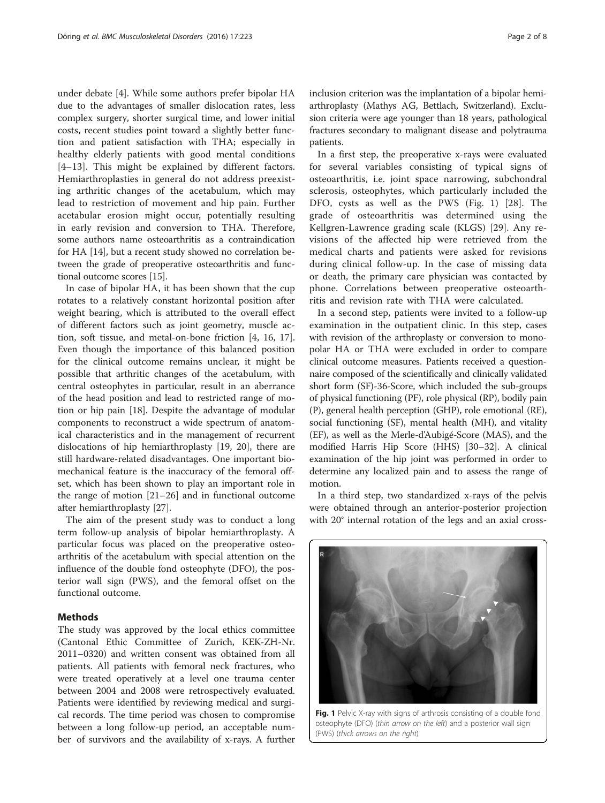under debate [[4\]](#page-6-0). While some authors prefer bipolar HA due to the advantages of smaller dislocation rates, less complex surgery, shorter surgical time, and lower initial costs, recent studies point toward a slightly better function and patient satisfaction with THA; especially in healthy elderly patients with good mental conditions [[4](#page-6-0)–[13\]](#page-6-0). This might be explained by different factors. Hemiarthroplasties in general do not address preexisting arthritic changes of the acetabulum, which may lead to restriction of movement and hip pain. Further acetabular erosion might occur, potentially resulting in early revision and conversion to THA. Therefore, some authors name osteoarthritis as a contraindication for HA [[14](#page-6-0)], but a recent study showed no correlation between the grade of preoperative osteoarthritis and functional outcome scores [\[15\]](#page-6-0).

In case of bipolar HA, it has been shown that the cup rotates to a relatively constant horizontal position after weight bearing, which is attributed to the overall effect of different factors such as joint geometry, muscle action, soft tissue, and metal-on-bone friction [\[4](#page-6-0), [16](#page-7-0), [17](#page-7-0)]. Even though the importance of this balanced position for the clinical outcome remains unclear, it might be possible that arthritic changes of the acetabulum, with central osteophytes in particular, result in an aberrance of the head position and lead to restricted range of motion or hip pain [\[18](#page-7-0)]. Despite the advantage of modular components to reconstruct a wide spectrum of anatomical characteristics and in the management of recurrent dislocations of hip hemiarthroplasty [[19](#page-7-0), [20\]](#page-7-0), there are still hardware-related disadvantages. One important biomechanical feature is the inaccuracy of the femoral offset, which has been shown to play an important role in the range of motion [\[21](#page-7-0)–[26\]](#page-7-0) and in functional outcome after hemiarthroplasty [[27\]](#page-7-0).

The aim of the present study was to conduct a long term follow-up analysis of bipolar hemiarthroplasty. A particular focus was placed on the preoperative osteoarthritis of the acetabulum with special attention on the influence of the double fond osteophyte (DFO), the posterior wall sign (PWS), and the femoral offset on the functional outcome.

#### **Methods**

The study was approved by the local ethics committee (Cantonal Ethic Committee of Zurich, KEK-ZH-Nr. 2011–0320) and written consent was obtained from all patients. All patients with femoral neck fractures, who were treated operatively at a level one trauma center between 2004 and 2008 were retrospectively evaluated. Patients were identified by reviewing medical and surgical records. The time period was chosen to compromise between a long follow-up period, an acceptable number of survivors and the availability of x-rays. A further

inclusion criterion was the implantation of a bipolar hemiarthroplasty (Mathys AG, Bettlach, Switzerland). Exclusion criteria were age younger than 18 years, pathological fractures secondary to malignant disease and polytrauma patients.

In a first step, the preoperative x-rays were evaluated for several variables consisting of typical signs of osteoarthritis, i.e. joint space narrowing, subchondral sclerosis, osteophytes, which particularly included the DFO, cysts as well as the PWS (Fig. 1) [\[28\]](#page-7-0). The grade of osteoarthritis was determined using the Kellgren-Lawrence grading scale (KLGS) [[29\]](#page-7-0). Any revisions of the affected hip were retrieved from the medical charts and patients were asked for revisions during clinical follow-up. In the case of missing data or death, the primary care physician was contacted by phone. Correlations between preoperative osteoarthritis and revision rate with THA were calculated.

In a second step, patients were invited to a follow-up examination in the outpatient clinic. In this step, cases with revision of the arthroplasty or conversion to monopolar HA or THA were excluded in order to compare clinical outcome measures. Patients received a questionnaire composed of the scientifically and clinically validated short form (SF)-36-Score, which included the sub-groups of physical functioning (PF), role physical (RP), bodily pain (P), general health perception (GHP), role emotional (RE), social functioning (SF), mental health (MH), and vitality (EF), as well as the Merle-d'Aubigé-Score (MAS), and the modified Harris Hip Score (HHS) [\[30](#page-7-0)–[32\]](#page-7-0). A clinical examination of the hip joint was performed in order to determine any localized pain and to assess the range of motion.

In a third step, two standardized x-rays of the pelvis were obtained through an anterior-posterior projection with 20° internal rotation of the legs and an axial cross-



Fig. 1 Pelvic X-ray with signs of arthrosis consisting of a double fond osteophyte (DFO) (thin arrow on the left) and a posterior wall sign (PWS) (thick arrows on the right)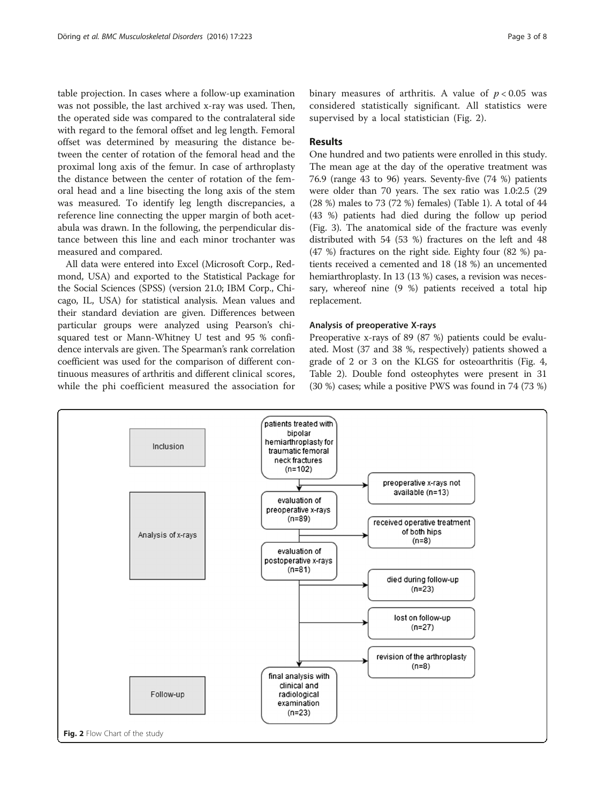table projection. In cases where a follow-up examination was not possible, the last archived x-ray was used. Then, the operated side was compared to the contralateral side with regard to the femoral offset and leg length. Femoral offset was determined by measuring the distance between the center of rotation of the femoral head and the proximal long axis of the femur. In case of arthroplasty the distance between the center of rotation of the femoral head and a line bisecting the long axis of the stem was measured. To identify leg length discrepancies, a reference line connecting the upper margin of both acetabula was drawn. In the following, the perpendicular distance between this line and each minor trochanter was measured and compared.

All data were entered into Excel (Microsoft Corp., Redmond, USA) and exported to the Statistical Package for the Social Sciences (SPSS) (version 21.0; IBM Corp., Chicago, IL, USA) for statistical analysis. Mean values and their standard deviation are given. Differences between particular groups were analyzed using Pearson's chisquared test or Mann-Whitney U test and 95 % confidence intervals are given. The Spearman's rank correlation coefficient was used for the comparison of different continuous measures of arthritis and different clinical scores, while the phi coefficient measured the association for

binary measures of arthritis. A value of  $p < 0.05$  was considered statistically significant. All statistics were supervised by a local statistician (Fig. 2).

#### Results

One hundred and two patients were enrolled in this study. The mean age at the day of the operative treatment was 76.9 (range 43 to 96) years. Seventy-five (74 %) patients were older than 70 years. The sex ratio was 1.0:2.5 (29 (28 %) males to 73 (72 %) females) (Table [1](#page-3-0)). A total of 44 (43 %) patients had died during the follow up period (Fig. [3](#page-3-0)). The anatomical side of the fracture was evenly distributed with 54 (53 %) fractures on the left and 48 (47 %) fractures on the right side. Eighty four (82 %) patients received a cemented and 18 (18 %) an uncemented hemiarthroplasty. In 13 (13 %) cases, a revision was necessary, whereof nine (9 %) patients received a total hip replacement.

#### Analysis of preoperative X-rays

Preoperative x-rays of 89 (87 %) patients could be evaluated. Most (37 and 38 %, respectively) patients showed a grade of 2 or 3 on the KLGS for osteoarthritis (Fig. [4](#page-4-0), Table [2](#page-4-0)). Double fond osteophytes were present in 31 (30 %) cases; while a positive PWS was found in 74 (73 %)

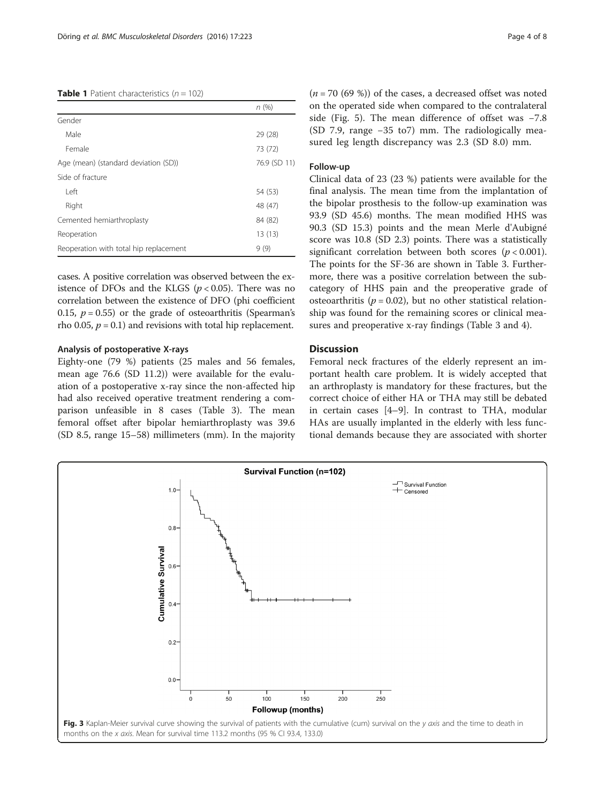#### <span id="page-3-0"></span>**Table 1** Patient characteristics ( $n = 102$ )

|                                        | n (%)        |
|----------------------------------------|--------------|
| Gender                                 |              |
| Male                                   | 29 (28)      |
| Female                                 | 73 (72)      |
| Age (mean) (standard deviation (SD))   | 76.9 (SD 11) |
| Side of fracture                       |              |
| I eft                                  | 54 (53)      |
| Right                                  | 48 (47)      |
| Cemented hemiarthroplasty              | 84 (82)      |
| Reoperation                            | 13(13)       |
| Reoperation with total hip replacement | 9(9)         |

cases. A positive correlation was observed between the existence of DFOs and the KLGS ( $p < 0.05$ ). There was no correlation between the existence of DFO (phi coefficient 0.15,  $p = 0.55$ ) or the grade of osteoarthritis (Spearman's rho 0.05,  $p = 0.1$ ) and revisions with total hip replacement.

#### Analysis of postoperative X-rays

Eighty-one (79 %) patients (25 males and 56 females, mean age 76.6 (SD 11.2)) were available for the evaluation of a postoperative x-ray since the non-affected hip had also received operative treatment rendering a comparison unfeasible in 8 cases (Table [3\)](#page-4-0). The mean femoral offset after bipolar hemiarthroplasty was 39.6 (SD 8.5, range 15–58) millimeters (mm). In the majority  $(n = 70 (69 \%))$  of the cases, a decreased offset was noted on the operated side when compared to the contralateral side (Fig. [5](#page-5-0)). The mean difference of offset was −7.8 (SD 7.9, range −35 to7) mm. The radiologically measured leg length discrepancy was 2.3 (SD 8.0) mm.

#### Follow-up

Clinical data of 23 (23 %) patients were available for the final analysis. The mean time from the implantation of the bipolar prosthesis to the follow-up examination was 93.9 (SD 45.6) months. The mean modified HHS was 90.3 (SD 15.3) points and the mean Merle d'Aubigné score was 10.8 (SD 2.3) points. There was a statistically significant correlation between both scores ( $p < 0.001$ ). The points for the SF-36 are shown in Table [3.](#page-4-0) Furthermore, there was a positive correlation between the subcategory of HHS pain and the preoperative grade of osteoarthritis ( $p = 0.02$ ), but no other statistical relationship was found for the remaining scores or clinical measures and preoperative x-ray findings (Table [3](#page-4-0) and [4\)](#page-5-0).

#### **Discussion**

Femoral neck fractures of the elderly represent an important health care problem. It is widely accepted that an arthroplasty is mandatory for these fractures, but the correct choice of either HA or THA may still be debated in certain cases [\[4](#page-6-0)–[9](#page-6-0)]. In contrast to THA, modular HAs are usually implanted in the elderly with less functional demands because they are associated with shorter

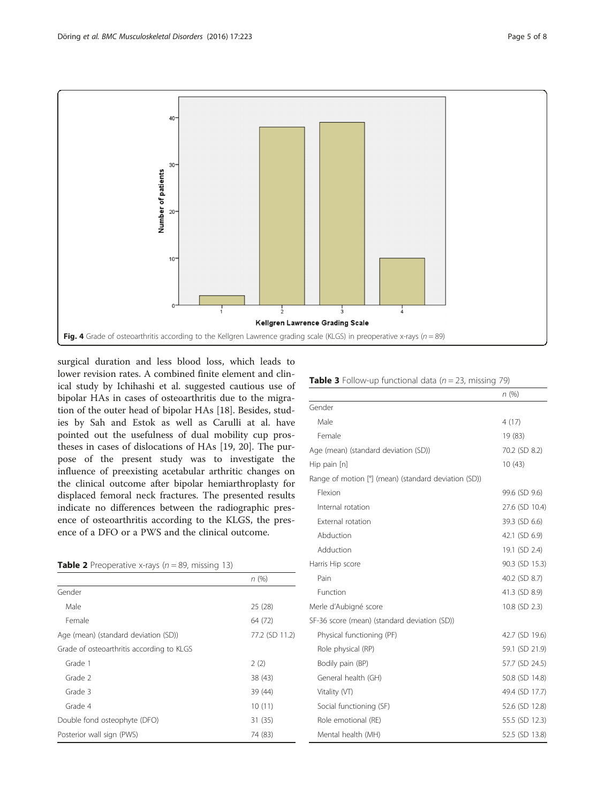<span id="page-4-0"></span>

surgical duration and less blood loss, which leads to lower revision rates. A combined finite element and clinical study by Ichihashi et al. suggested cautious use of bipolar HAs in cases of osteoarthritis due to the migration of the outer head of bipolar HAs [\[18](#page-7-0)]. Besides, studies by Sah and Estok as well as Carulli at al. have pointed out the usefulness of dual mobility cup prostheses in cases of dislocations of HAs [[19](#page-7-0), [20\]](#page-7-0). The purpose of the present study was to investigate the influence of preexisting acetabular arthritic changes on the clinical outcome after bipolar hemiarthroplasty for displaced femoral neck fractures. The presented results indicate no differences between the radiographic presence of osteoarthritis according to the KLGS, the presence of a DFO or a PWS and the clinical outcome.

| <b>Table 2</b> Preoperative x-rays ( $n = 89$ , missing 13) |  |  |
|-------------------------------------------------------------|--|--|
|                                                             |  |  |

|                                           | n(%)           |
|-------------------------------------------|----------------|
| Gender                                    |                |
| Male                                      | 25 (28)        |
| Female                                    | 64 (72)        |
| Age (mean) (standard deviation (SD))      | 77.2 (SD 11.2) |
| Grade of osteoarthritis according to KLGS |                |
| Grade 1                                   | 2(2)           |
| Grade 2                                   | 38 (43)        |
| Grade 3                                   | 39 (44)        |
| Grade 4                                   | 10(11)         |
| Double fond osteophyte (DFO)              | 31 (35)        |
| Posterior wall sign (PWS)                 | 74 (83)        |

|  | <b>Table 3</b> Follow-up functional data $(n = 23$ , missing 79) |  |  |  |
|--|------------------------------------------------------------------|--|--|--|
|  |                                                                  |  |  |  |

|                                                      | n(%)           |
|------------------------------------------------------|----------------|
| Gender                                               |                |
| Male                                                 | 4(17)          |
| Female                                               | 19 (83)        |
| Age (mean) (standard deviation (SD))                 | 70.2 (SD 8.2)  |
| Hip pain [n]                                         | 10(43)         |
| Range of motion [°] (mean) (standard deviation (SD)) |                |
| Flexion                                              | 99.6 (SD 9.6)  |
| Internal rotation                                    | 27.6 (SD 10.4) |
| <b>External rotation</b>                             | 39.3 (SD 6.6)  |
| Abduction                                            | 42.1 (SD 6.9)  |
| Adduction                                            | 19.1 (SD 2.4)  |
| Harris Hip score                                     | 90.3 (SD 15.3) |
| Pain                                                 | 40.2 (SD 8.7)  |
| Function                                             | 41.3 (SD 8.9)  |
| Merle d'Aubigné score                                | 10.8 (SD 2.3)  |
| SF-36 score (mean) (standard deviation (SD))         |                |
| Physical functioning (PF)                            | 42.7 (SD 19.6) |
| Role physical (RP)                                   | 59.1 (SD 21.9) |
| Bodily pain (BP)                                     | 57.7 (SD 24.5) |
| General health (GH)                                  | 50.8 (SD 14.8) |
| Vitality (VT)                                        | 49.4 (SD 17.7) |
| Social functioning (SF)                              | 52.6 (SD 12.8) |
| Role emotional (RE)                                  | 55.5 (SD 12.3) |
| Mental health (MH)                                   | 52.5 (SD 13.8) |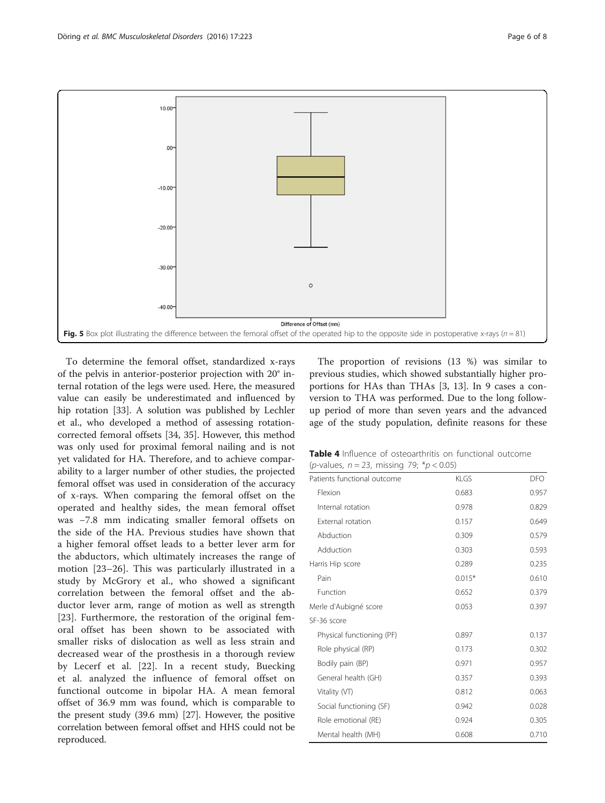<span id="page-5-0"></span>

To determine the femoral offset, standardized x-rays of the pelvis in anterior-posterior projection with 20° internal rotation of the legs were used. Here, the measured value can easily be underestimated and influenced by hip rotation [\[33](#page-7-0)]. A solution was published by Lechler et al., who developed a method of assessing rotationcorrected femoral offsets [[34, 35\]](#page-7-0). However, this method was only used for proximal femoral nailing and is not yet validated for HA. Therefore, and to achieve comparability to a larger number of other studies, the projected femoral offset was used in consideration of the accuracy of x-rays. When comparing the femoral offset on the operated and healthy sides, the mean femoral offset was −7.8 mm indicating smaller femoral offsets on the side of the HA. Previous studies have shown that a higher femoral offset leads to a better lever arm for the abductors, which ultimately increases the range of motion [[23](#page-7-0)–[26\]](#page-7-0). This was particularly illustrated in a study by McGrory et al., who showed a significant correlation between the femoral offset and the abductor lever arm, range of motion as well as strength [[23\]](#page-7-0). Furthermore, the restoration of the original femoral offset has been shown to be associated with smaller risks of dislocation as well as less strain and decreased wear of the prosthesis in a thorough review by Lecerf et al. [\[22](#page-7-0)]. In a recent study, Buecking et al. analyzed the influence of femoral offset on functional outcome in bipolar HA. A mean femoral offset of 36.9 mm was found, which is comparable to the present study (39.6 mm) [[27](#page-7-0)]. However, the positive correlation between femoral offset and HHS could not be reproduced.

The proportion of revisions (13 %) was similar to previous studies, which showed substantially higher proportions for HAs than THAs [\[3](#page-6-0), [13](#page-6-0)]. In 9 cases a conversion to THA was performed. Due to the long followup period of more than seven years and the advanced age of the study population, definite reasons for these

| <b>Table 4</b> Influence of osteoarthritis on functional outcome |  |
|------------------------------------------------------------------|--|
| ( <i>p</i> -values, $n = 23$ , missing 79; * $p < 0.05$ )        |  |

| ( <i>p</i> -values, $n = 23$ , missing 79; * $p < 0.05$ ) |          |       |  |
|-----------------------------------------------------------|----------|-------|--|
| Patients functional outcome                               | KI GS    | DFO.  |  |
| Flexion                                                   | 0.683    | 0.957 |  |
| Internal rotation                                         | 0.978    | 0.829 |  |
| External rotation                                         | 0.157    | 0.649 |  |
| Abduction                                                 | 0.309    | 0.579 |  |
| Adduction                                                 | 0.303    | 0.593 |  |
| Harris Hip score                                          | 0.289    | 0.235 |  |
| Pain                                                      | $0.015*$ | 0.610 |  |
| Function                                                  | 0.652    | 0.379 |  |
| Merle d'Aubigné score                                     | 0.053    | 0.397 |  |
| SF-36 score                                               |          |       |  |
| Physical functioning (PF)                                 | 0.897    | 0.137 |  |
| Role physical (RP)                                        | 0.173    | 0.302 |  |
| Bodily pain (BP)                                          | 0.971    | 0.957 |  |
| General health (GH)                                       | 0.357    | 0.393 |  |
| Vitality (VT)                                             | 0.812    | 0.063 |  |
| Social functioning (SF)                                   | 0.942    | 0.028 |  |
| Role emotional (RE)                                       | 0.924    | 0.305 |  |
| Mental health (MH)                                        | 0.608    | 0.710 |  |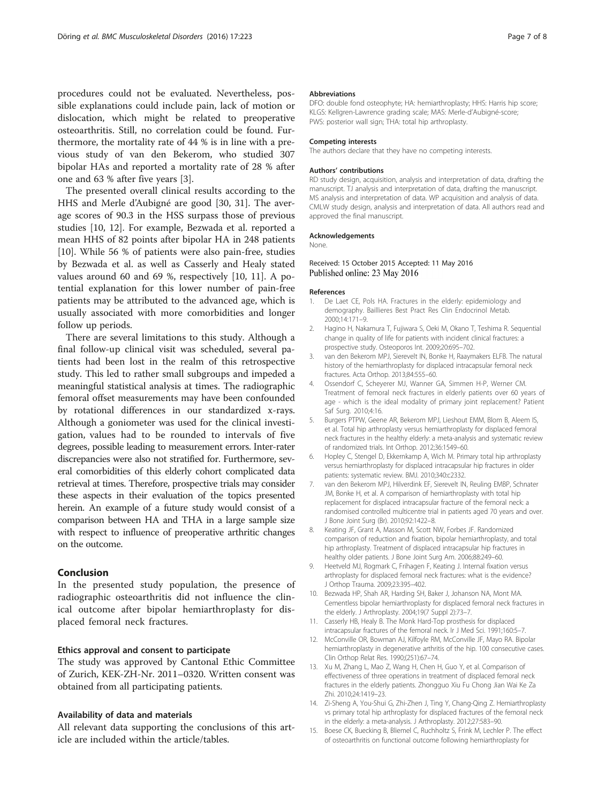<span id="page-6-0"></span>procedures could not be evaluated. Nevertheless, possible explanations could include pain, lack of motion or dislocation, which might be related to preoperative osteoarthritis. Still, no correlation could be found. Furthermore, the mortality rate of 44 % is in line with a previous study of van den Bekerom, who studied 307 bipolar HAs and reported a mortality rate of 28 % after one and 63 % after five years [3].

The presented overall clinical results according to the HHS and Merle d'Aubigné are good [\[30](#page-7-0), [31](#page-7-0)]. The average scores of 90.3 in the HSS surpass those of previous studies [10, 12]. For example, Bezwada et al. reported a mean HHS of 82 points after bipolar HA in 248 patients [10]. While 56 % of patients were also pain-free, studies by Bezwada et al. as well as Casserly and Healy stated values around 60 and 69 %, respectively [10, 11]. A potential explanation for this lower number of pain-free patients may be attributed to the advanced age, which is usually associated with more comorbidities and longer follow up periods.

There are several limitations to this study. Although a final follow-up clinical visit was scheduled, several patients had been lost in the realm of this retrospective study. This led to rather small subgroups and impeded a meaningful statistical analysis at times. The radiographic femoral offset measurements may have been confounded by rotational differences in our standardized x-rays. Although a goniometer was used for the clinical investigation, values had to be rounded to intervals of five degrees, possible leading to measurement errors. Inter-rater discrepancies were also not stratified for. Furthermore, several comorbidities of this elderly cohort complicated data retrieval at times. Therefore, prospective trials may consider these aspects in their evaluation of the topics presented herein. An example of a future study would consist of a comparison between HA and THA in a large sample size with respect to influence of preoperative arthritic changes on the outcome.

#### Conclusion

In the presented study population, the presence of radiographic osteoarthritis did not influence the clinical outcome after bipolar hemiarthroplasty for displaced femoral neck fractures.

#### Ethics approval and consent to participate

The study was approved by Cantonal Ethic Committee of Zurich, KEK-ZH-Nr. 2011–0320. Written consent was obtained from all participating patients.

#### Availability of data and materials

All relevant data supporting the conclusions of this article are included within the article/tables.

#### Abbreviations

DFO: double fond osteophyte; HA: hemiarthroplasty; HHS: Harris hip score; KLGS: Kellgren-Lawrence grading scale; MAS: Merle-d'Aubigné-score; PWS: posterior wall sign; THA: total hip arthroplasty.

#### Competing interests

The authors declare that they have no competing interests.

#### Authors' contributions

RD study design, acquisition, analysis and interpretation of data, drafting the manuscript. TJ analysis and interpretation of data, drafting the manuscript. MS analysis and interpretation of data. WP acquisition and analysis of data. CMLW study design, analysis and interpretation of data. All authors read and approved the final manuscript.

#### Acknowledgements

None.

#### Received: 15 October 2015 Accepted: 11 May 2016 Published online: 23 May 2016

#### References

- 1. De Laet CE, Pols HA. Fractures in the elderly: epidemiology and demography. Baillieres Best Pract Res Clin Endocrinol Metab. 2000;14:171–9.
- 2. Hagino H, Nakamura T, Fujiwara S, Oeki M, Okano T, Teshima R. Sequential change in quality of life for patients with incident clinical fractures: a prospective study. Osteoporos Int. 2009;20:695–702.
- 3. van den Bekerom MPJ, Sierevelt IN, Bonke H, Raaymakers ELFB. The natural history of the hemiarthroplasty for displaced intracapsular femoral neck fractures. Acta Orthop. 2013;84:555–60.
- 4. Ossendorf C, Scheyerer MJ, Wanner GA, Simmen H-P, Werner CM. Treatment of femoral neck fractures in elderly patients over 60 years of age - which is the ideal modality of primary joint replacement? Patient Saf Surg. 2010;4:16.
- 5. Burgers PTPW, Geene AR, Bekerom MPJ, Lieshout EMM, Blom B, Aleem IS, et al. Total hip arthroplasty versus hemiarthroplasty for displaced femoral neck fractures in the healthy elderly: a meta-analysis and systematic review of randomized trials. Int Orthop. 2012;36:1549–60.
- 6. Hopley C, Stengel D, Ekkernkamp A, Wich M. Primary total hip arthroplasty versus hemiarthroplasty for displaced intracapsular hip fractures in older patients: systematic review. BMJ. 2010;340:c2332.
- 7. van den Bekerom MPJ, Hilverdink EF, Sierevelt IN, Reuling EMBP, Schnater JM, Bonke H, et al. A comparison of hemiarthroplasty with total hip replacement for displaced intracapsular fracture of the femoral neck: a randomised controlled multicentre trial in patients aged 70 years and over. J Bone Joint Surg (Br). 2010;92:1422–8.
- 8. Keating JF, Grant A, Masson M, Scott NW, Forbes JF. Randomized comparison of reduction and fixation, bipolar hemiarthroplasty, and total hip arthroplasty. Treatment of displaced intracapsular hip fractures in healthy older patients. J Bone Joint Surg Am. 2006;88:249–60.
- 9. Heetveld MJ, Rogmark C, Frihagen F, Keating J. Internal fixation versus arthroplasty for displaced femoral neck fractures: what is the evidence? J Orthop Trauma. 2009;23:395–402.
- 10. Bezwada HP, Shah AR, Harding SH, Baker J, Johanson NA, Mont MA. Cementless bipolar hemiarthroplasty for displaced femoral neck fractures in the elderly. J Arthroplasty. 2004;19(7 Suppl 2):73–7.
- 11. Casserly HB, Healy B. The Monk Hard-Top prosthesis for displaced intracapsular fractures of the femoral neck. Ir J Med Sci. 1991;160:5–7.
- 12. McConville OR, Bowman AJ, Kilfoyle RM, McConville JF, Mayo RA. Bipolar hemiarthroplasty in degenerative arthritis of the hip. 100 consecutive cases. Clin Orthop Relat Res. 1990;(251):67–74.
- 13. Xu M, Zhang L, Mao Z, Wang H, Chen H, Guo Y, et al. Comparison of effectiveness of three operations in treatment of displaced femoral neck fractures in the elderly patients. Zhongguo Xiu Fu Chong Jian Wai Ke Za Zhi. 2010;24:1419–23.
- 14. Zi-Sheng A, You-Shui G, Zhi-Zhen J, Ting Y, Chang-Qing Z. Hemiarthroplasty vs primary total hip arthroplasty for displaced fractures of the femoral neck in the elderly: a meta-analysis. J Arthroplasty. 2012;27:583–90.
- 15. Boese CK, Buecking B, Bliemel C, Ruchholtz S, Frink M, Lechler P. The effect of osteoarthritis on functional outcome following hemiarthroplasty for